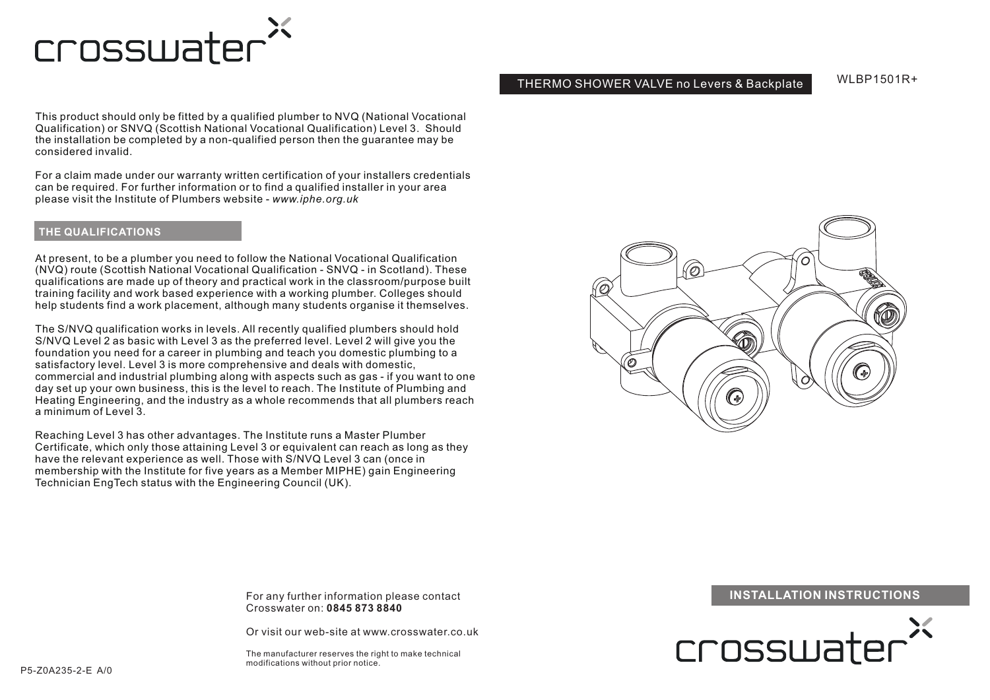

#### THERMO SHOWER VALVE no Levers & Backplate

WI RP1501R+

This product should only be fitted by a qualified plumber to NVQ (National Vocational Qualification) or SNVQ (Scottish National Vocational Qualification) Level 3. Should the installation be completed by a non-qualified person then the guarantee may be considered invalid.

For a claim made under our warranty written certification of your installers credentials can be required. For further information or to find a qualified installer in your area please visit the Institute of Plumbers website - *www.iphe.org.uk*

#### **THE QUALIFICATIONS**

At present, to be a plumber you need to follow the National Vocational Qualification (NVQ) route (Scottish National Vocational Qualification - SNVQ - in Scotland). These qualifications are made up of theory and practical work in the classroom/purpose built training facility and work based experience with a working plumber. Colleges should help students find a work placement, although many students organise it themselves.

The S/NVQ qualification works in levels. All recently qualified plumbers should hold S/NVQ Level 2 as basic with Level 3 as the preferred level. Level 2 will give you the foundation you need for a career in plumbing and teach you domestic plumbing to a satisfactory level. Level 3 is more comprehensive and deals with domestic, commercial and industrial plumbing along with aspects such as gas - if you want to one day set up your own business, this is the level to reach. The Institute of Plumbing and Heating Engineering, and the industry as a whole recommends that all plumbers reach a minimum of Level 3.

Reaching Level 3 has other advantages. The Institute runs a Master Plumber Certificate, which only those attaining Level 3 or equivalent can reach as long as they have the relevant experience as well. Those with S/NVQ Level 3 can (once in membership with the Institute for five years as a Member MIPHE) gain Engineering Technician EngTech status with the Engineering Council (UK).



Crosswater on: **0845 873 8840**

Or visit our web-site at www.crosswater.co.uk

The manufacturer reserves the right to make technical modifications without prior notice.

# For any further information please contact **INSTALLATION INSTRUCTIONS**

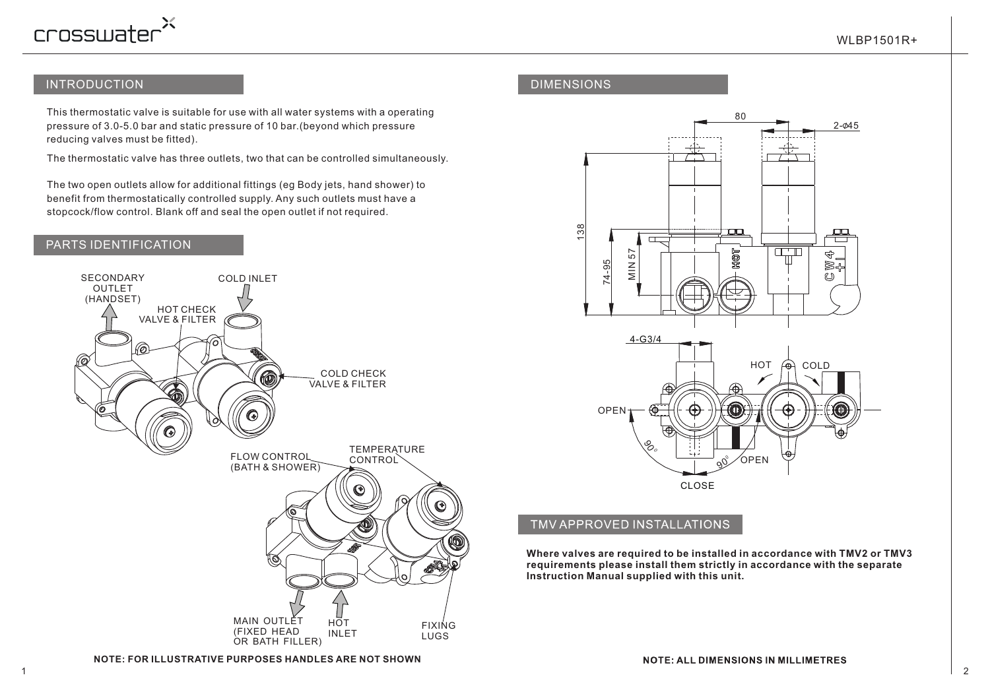

### INTRODUCTION

This thermostatic valve is suitable for use with all water systems with a operating pressure of 3.0-5.0 bar and static pressure of 10 bar.(beyond which pressure reducing valves must be fitted).

The thermostatic valve has three outlets, two that can be controlled simultaneously.

The two open outlets allow for additional fittings (eg Body jets, hand shower) to benefit from thermostatically controlled supply. Any such outlets must have a stopcock/flow control. Blank off and seal the open outlet if not required.

# PARTS IDENTIFICATION



### DIMENSIONS



# TMV APPROVED INSTALLATIONS

**Where valves are required to be installed in accordance with TMV2 or TMV3 requirements please install them strictly in accordance with the separate Instruction Manual supplied with this unit.**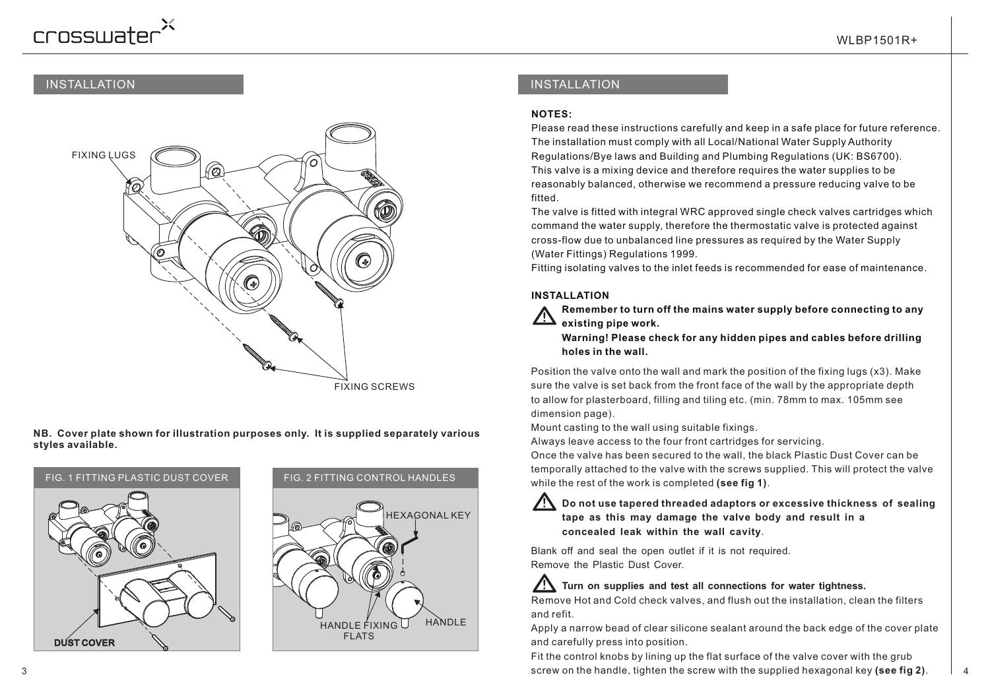# crosswater<sup>2</sup>

#### INSTALLATION



**NB. Cover plate shown for illustration purposes only. It is supplied separately various styles available.**





# INSTALLATION

#### **NOTES:**

Please read these instructions carefully and keep in a safe place for future reference. The installation must comply with all Local/National Water Supply Authority Regulations/Bye laws and Building and Plumbing Regulations (UK: BS6700). This valve is a mixing device and therefore requires the water supplies to be reasonably balanced, otherwise we recommend a pressure reducing valve to be fitted.

The valve is fitted with integral WRC approved single check valves cartridges which command the water supply, therefore the thermostatic valve is protected against cross-flow due to unbalanced line pressures as required by the Water Supply (Water Fittings) Regulations 1999.

Fitting isolating valves to the inlet feeds is recommended for ease of maintenance.

#### **INSTALLATION**

 **Remember to turn off the mains water supply before connecting to any existing pipe work.**

 **Warning! Please check for any hidden pipes and cables before drilling holes in the wall.**

Position the valve onto the wall and mark the position of the fixing lugs (x3). Make sure the valve is set back from the front face of the wall by the appropriate depth to allow for plasterboard, filling and tiling etc. (min. 78mm to max. 105mm see dimension page).

Mount casting to the wall using suitable fixings.

Always leave access to the four front cartridges for servicing.

Once the valve has been secured to the wall, the black Plastic Dust Cover can be temporally attached to the valve with the screws supplied. This will protect the valve while the rest of the work is completed **(see fig 1)**.

#### **! Do not use tapered threaded adaptors or excessive thickness of sealing tape as this may damage the valve body and result in a concealed leak within the wall cavity**.

Blank off and seal the open outlet if it is not required. Remove the Plastic Dust Cover.

# **! Turn on supplies and test all connections for water tightness.**

Remove Hot and Cold check valves, and flush out the installation, clean the filters and refit.

Apply a narrow bead of clear silicone sealant around the back edge of the cover plate and carefully press into position.

3 4 screw on the handle, tighten the screw with the supplied hexagonal key **(see fig 2)**. Fit the control knobs by lining up the flat surface of the valve cover with the grub